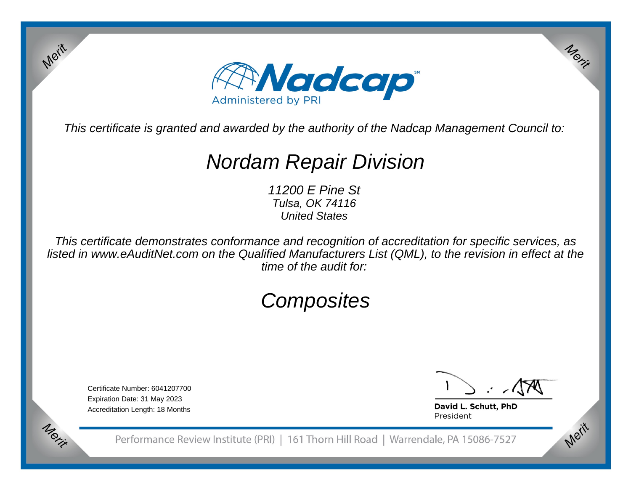

This certificate is granted and awarded by the authority of the Nadcap Management Council to:

# Nordam Repair Division

11200 E Pine St Tulsa, OK 74116United States

This certificate demonstrates conformance and recognition of accreditation for specific services, as listed in www.eAuditNet.com on the Qualified Manufacturers List (QML), to the revision in effect at thetime of the audit for:

## **Composites**

Certificate Number: 6041207700Expiration Date: 31 May 2023Accreditation Length: 18 Months

Merit

Merit

Merit

Merit

David L. Schutt, PhD President

Performance Review Institute (PRI) | 161 Thorn Hill Road | Warrendale, PA 15086-7527